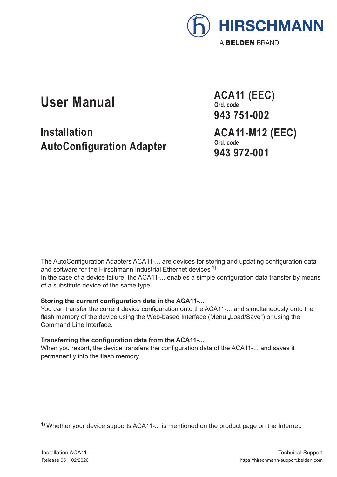

# **User Manual**

**Installation AutoConfiguration Adapter** **ACA11 (EEC) Ord. code 943 751-002 ACA11-M12 (EEC) Ord. code 943 972-001**

The AutoConfiguration Adapters ACA11-... are devices for storing and updating configuration data and software for the Hirschmann Industrial Ethernet devices <sup>1)</sup>. In the case of a device failure, the ACA11-... enables a simple configuration data transfer by means of a substitute device of the same type.

## **Storing the current configuration data in the ACA11-...**

You can transfer the current device configuration onto the ACA11-... and simultaneously onto the flash memory of the device using the Web-based Interface (Menu "Load/Save") or using the Command Line Interface.

## **Transferring the configuration data from the ACA11-...**

When you restart, the device transfers the configuration data of the ACA11-... and saves it permanently into the flash memory.

1) Whether your device supports ACA11-... is mentioned on the product page on the Internet.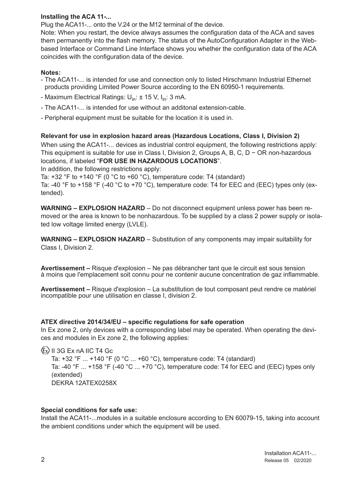# **Installing the ACA 11-...**

Plug the ACA11-... onto the V.24 or the M12 terminal of the device.

Note: When you restart, the device always assumes the configuration data of the ACA and saves them permanently into the flash memory. The status of the AutoConfiguration Adapter in the Webbased Interface or Command Line Interface shows you whether the configuration data of the ACA coincides with the configuration data of the device.

## **Notes:**

- The ACA11- is intended for use and connection only to listed Hirschmann Industrial Ethernet products providing Limited Power Source according to the EN 60950-1 requirements.
- Maximum Electrical Ratings:  $U_{in}: \pm 15$  V,  $I_{in}: 3$  mA.
- The ACA11-... is intended for use without an additonal extension-cable.
- Peripheral equipment must be suitable for the location it is used in.

**Relevant for use in explosion hazard areas (Hazardous Locations, Class I, Division 2)**

When using the ACA11-... devices as industrial control equipment, the following restrictions apply: This equipment is suitable for use in Class I, Division 2, Groups A, B, C, D − OR non-hazardous locations, if labeled "**FOR USE IN HAZARDOUS LOCATIONS**".

In addition, the following restrictions apply:

Ta:  $+32$  °F to  $+140$  °F (0 °C to  $+60$  °C), temperature code: T4 (standard)

Ta: -40 °F to +158 °F (-40 °C to +70 °C), temperature code: T4 for EEC and (EEC) types only (extended).

**WARNING – EXPLOSION HAZARD** – Do not disconnect equipment unless power has been removed or the area is known to be nonhazardous. To be supplied by a class 2 power supply or isolated low voltage limited energy (LVLE).

**WARNING – EXPLOSION HAZARD** – Substitution of any components may impair suitability for Class I, Division 2.

**Avertissement –** Risque d'explosion – Ne pas débrancher tant que le circuit est sous tension à moins que l'emplacement soit connu pour ne contenir aucune concentration de gaz inflammable.

**Avertissement –** Risque d'explosion – La substitution de tout composant peut rendre ce matériel incompatible pour une utilisation en classe I, division 2.

#### **ATEX directive 2014/34/EU – specific regulations for safe operation**

In Ex zone 2, only devices with a corresponding label may be operated. When operating the devices and modules in Ex zone 2, the following applies:

 $\langle x \rangle$  II 3G Ex nA IIC T4 Gc Ta: +32 °F ... +140 °F (0 °C ... +60 °C), temperature code: T4 (standard) Ta: -40  $\degree$ F  $\ldots$  +158  $\degree$ F (-40  $\degree$ C  $\ldots$  +70  $\degree$ C), temperature code: T4 for EEC and (EEC) types only (extended) DEKRA 12ATEX0258X

#### **Special conditions for safe use:**

Install the ACA11-...modules in a suitable enclosure according to EN 60079-15, taking into account the ambient conditions under which the equipment will be used.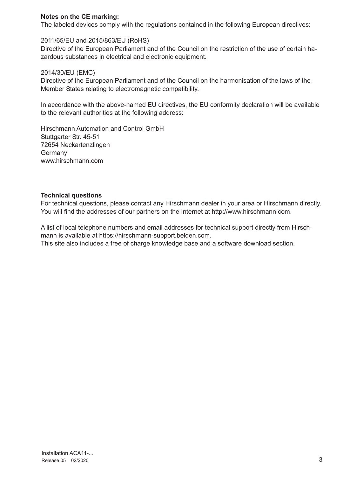## **Notes on the CE marking:**

The labeled devices comply with the regulations contained in the following European directives:

## 2011/65/EU and 2015/863/EU (RoHS)

Directive of the European Parliament and of the Council on the restriction of the use of certain hazardous substances in electrical and electronic equipment.

#### 2014/30/EU (EMC)

Directive of the European Parliament and of the Council on the harmonisation of the laws of the Member States relating to electromagnetic compatibility.

In accordance with the above-named EU directives, the EU conformity declaration will be available to the relevant authorities at the following address:

Hirschmann Automation and Control GmbH Stuttgarter Str. 45-51 72654 Neckartenzlingen Germany www.hirschmann.com

## **Technical questions**

For technical questions, please contact any Hirschmann dealer in your area or Hirschmann directly. You will find the addresses of our partners on the Internet at http://www.hirschmann.com.

A list of local telephone numbers and email addresses for technical support directly from Hirschmann is available at https://hirschmann-support.belden.com. This site also includes a free of charge knowledge base and a software download section.